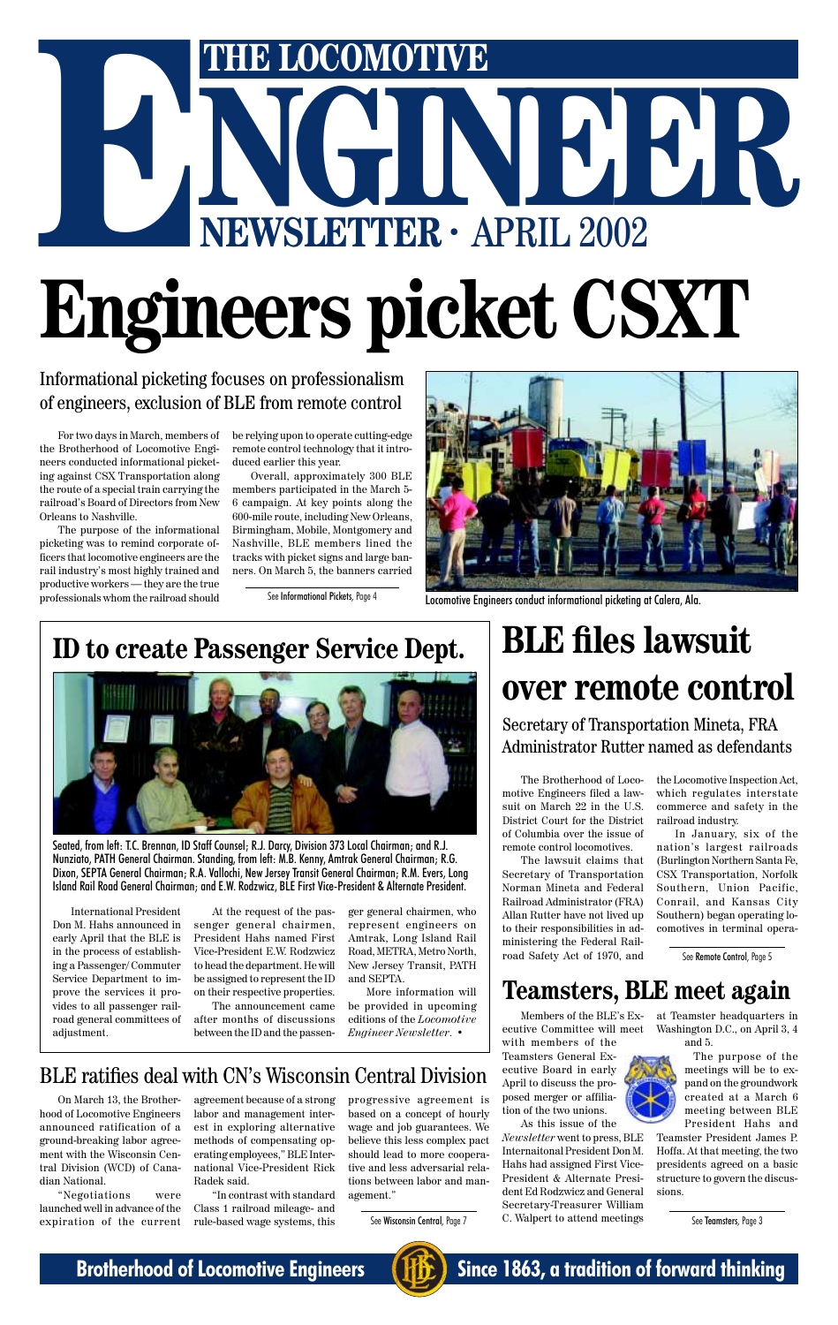# THE LOCOMOTIVE<br>
NGC 1002 **ENERGOMOTIVE**<br> **ENEWSLETTER ·** APRIL 2002 **Engineers picket CSXT**

Informational picketing focuses on professionalism of engineers, exclusion of BLE from remote control



Locomotive Engineers conduct informational picketing at Calera, Ala.

# **BLE files lawsuit over remote control**

The Brotherhood of Locomotive Engineers filed a lawsuit on March 22 in the U.S. District Court for the District of Columbia over the issue of remote control locomotives.

The lawsuit claims that Secretary of Transportation Norman Mineta and Federal Railroad Administrator (FRA) Allan Rutter have not lived up to their responsibilities in administering the Federal Railroad Safety Act of 1970, and

the Locomotive Inspection Act, which regulates interstate commerce and safety in the railroad industry.

In January, six of the nation's largest railroads (Burlington Northern Santa Fe, CSX Transportation, Norfolk Southern, Union Pacific, Conrail, and Kansas City Southern) began operating locomotives in terminal opera-

Secretary of Transportation Mineta, FRA Administrator Rutter named as defendants

For two days in March, members of the Brotherhood of Locomotive Engineers conducted informational picketing against CSX Transportation along the route of a special train carrying the railroad's Board of Directors from New Orleans to Nashville.

The purpose of the informational picketing was to remind corporate officers that locomotive engineers are the rail industry's most highly trained and productive workers — they are the true professionals whom the railroad should

be relying upon to operate cutting-edge remote control technology that it introduced earlier this year.

Overall, approximately 300 BLE members participated in the March 5- 6 campaign. At key points along the 600-mile route, including New Orleans, Birmingham, Mobile, Montgomery and Nashville, BLE members lined the tracks with picket signs and large banners. On March 5, the banners carried

See Informational Pickets, Page 4

### **Teamsters, BLE meet again**

Members of the BLE's Executive Committee will meet with members of the Teamsters General Executive Board in early April to discuss the proposed merger or affiliation of the two unions.

As this issue of the

*Newsletter* went to press, BLE Internaitonal President Don M. Hahs had assigned First Vice-President & Alternate President Ed Rodzwicz and General Secretary-Treasurer William C. Walpert to attend meetings

at Teamster headquarters in Washington D.C., on April 3, 4 and 5.



The purpose of the meetings will be to expand on the groundwork created at a March 6 meeting between BLE President Hahs and

Teamster President James P. Hoffa. At that meeting, the two presidents agreed on a basic structure to govern the discussions.

See Teamsters, Page 3

### **ID to create Passenger Service Dept.**

International President Don M. Hahs announced in early April that the BLE is in the process of establishing a Passenger/ Commuter Service Department to improve the services it provides to all passenger railroad general committees of adjustment.

At the request of the passenger general chairmen, President Hahs named First Vice-President E.W. Rodzwicz to head the department. He will

be assigned to represent the ID on their respective properties.

The announcement came after months of discussions between the ID and the passen-

ger general chairmen, who represent engineers on Amtrak, Long Island Rail Road, METRA, Metro North, New Jersey Transit, PATH

and SEPTA.

More information will be provided in upcoming editions of the *Locomotive Engineer Newsletter*. •



Seated, from left: T.C. Brennan, ID Staff Counsel; R.J. Darcy, Division 373 Local Chairman; and R.J. Nunziato, PATH General Chairman. Standing, from left: M.B. Kenny, Amtrak General Chairman; R.G. Dixon, SEPTA General Chairman; R.A. Vallochi, New Jersey Transit General Chairman; R.M. Evers, Long Island Rail Road General Chairman; and E.W. Rodzwicz, BLE First Vice-President & Alternate President.

### BLE ratifies deal with CN's Wisconsin Central Division

On March 13, the Brotherhood of Locomotive Engineers announced ratification of a ground-breaking labor agreement with the Wisconsin Central Division (WCD) of Canadian National.

"Negotiations were launched well in advance of the expiration of the current

agreement because of a strong labor and management interest in exploring alternative methods of compensating operating employees," BLE International Vice-President Rick Radek said.

"In contrast with standard Class 1 railroad mileage- and rule-based wage systems, this

progressive agreement is based on a concept of hourly wage and job guarantees. We believe this less complex pact should lead to more cooperative and less adversarial relations between labor and management."

See Wisconsin Central, Page 7





**Brotherhood of Locomotive Engineers (HE)** Since 1863, a tradition of forward thinking

See Remote Control, Page 5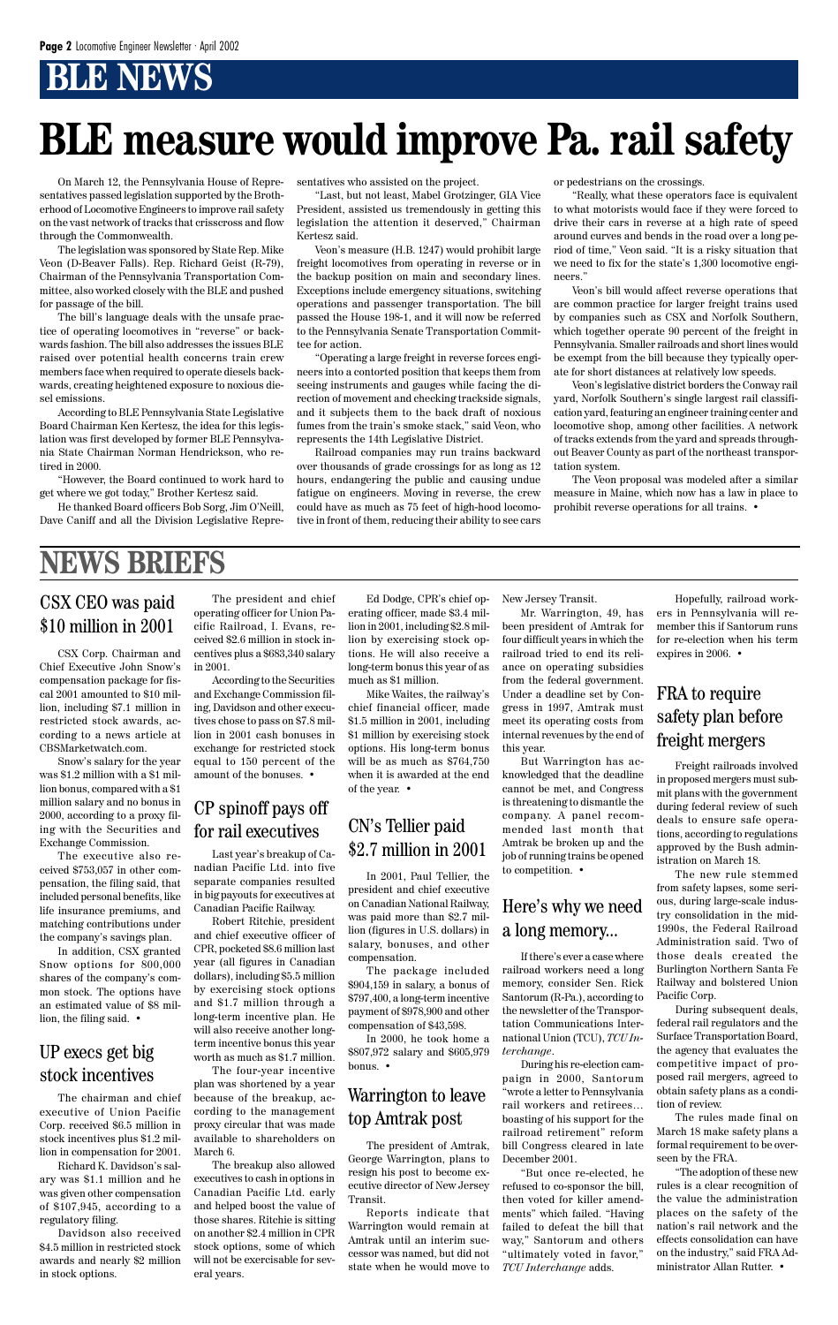# **BLE NEWS**

On March 12, the Pennsylvania House of Representatives passed legislation supported by the Brotherhood of Locomotive Engineers to improve rail safety on the vast network of tracks that crisscross and flow through the Commonwealth.

The legislation was sponsored by State Rep. Mike Veon (D-Beaver Falls). Rep. Richard Geist (R-79), Chairman of the Pennsylvania Transportation Committee, also worked closely with the BLE and pushed for passage of the bill.

The bill's language deals with the unsafe practice of operating locomotives in "reverse" or backwards fashion. The bill also addresses the issues BLE raised over potential health concerns train crew members face when required to operate diesels backwards, creating heightened exposure to noxious diesel emissions.

According to BLE Pennsylvania State Legislative Board Chairman Ken Kertesz, the idea for this legislation was first developed by former BLE Pennsylvania State Chairman Norman Hendrickson, who retired in 2000.

"However, the Board continued to work hard to get where we got today," Brother Kertesz said.

He thanked Board officers Bob Sorg, Jim O'Neill, Dave Caniff and all the Division Legislative Representatives who assisted on the project.

"Last, but not least, Mabel Grotzinger, GIA Vice President, assisted us tremendously in getting this legislation the attention it deserved," Chairman Kertesz said.

Veon's measure (H.B. 1247) would prohibit large freight locomotives from operating in reverse or in the backup position on main and secondary lines. Exceptions include emergency situations, switching operations and passenger transportation. The bill passed the House 198-1, and it will now be referred to the Pennsylvania Senate Transportation Committee for action.

"Operating a large freight in reverse forces engineers into a contorted position that keeps them from seeing instruments and gauges while facing the direction of movement and checking trackside signals, and it subjects them to the back draft of noxious fumes from the train's smoke stack," said Veon, who represents the 14th Legislative District.

Railroad companies may run trains backward over thousands of grade crossings for as long as 12 hours, endangering the public and causing undue fatigue on engineers. Moving in reverse, the crew could have as much as 75 feet of high-hood locomotive in front of them, reducing their ability to see cars or pedestrians on the crossings.

"Really, what these operators face is equivalent to what motorists would face if they were forced to drive their cars in reverse at a high rate of speed around curves and bends in the road over a long period of time," Veon said. "It is a risky situation that we need to fix for the state's 1,300 locomotive engineers."

Veon's bill would affect reverse operations that are common practice for larger freight trains used by companies such as CSX and Norfolk Southern, which together operate 90 percent of the freight in Pennsylvania. Smaller railroads and short lines would be exempt from the bill because they typically operate for short distances at relatively low speeds.

Veon's legislative district borders the Conway rail yard, Norfolk Southern's single largest rail classification yard, featuring an engineer training center and locomotive shop, among other facilities. A network of tracks extends from the yard and spreads throughout Beaver County as part of the northeast transportation system.

The Veon proposal was modeled after a similar measure in Maine, which now has a law in place to prohibit reverse operations for all trains. •

# **BLE measure would improve Pa. rail safety**

CSX Corp. Chairman and Chief Executive John Snow's compensation package for fiscal 2001 amounted to \$10 million, including \$7.1 million in restricted stock awards, according to a news article at CBSMarketwatch.com.

Snow's salary for the year was \$1.2 million with a \$1 million bonus, compared with a \$1 million salary and no bonus in 2000, according to a proxy filing with the Securities and Exchange Commission.

The executive also received \$753,057 in other compensation, the filing said, that included personal benefits, like life insurance premiums, and matching contributions under the company's savings plan.

In addition, CSX granted Snow options for 800,000 shares of the company's common stock. The options have an estimated value of \$8 million, the filing said. •

### CSX CEO was paid \$10 million in 2001

# **NEWS BRIEFS**

The chairman and chief executive of Union Pacific Corp. received \$6.5 million in stock incentives plus \$1.2 million in compensation for 2001.

Richard K. Davidson's salary was \$1.1 million and he was given other compensation of \$107,945, according to a regulatory filing.

Davidson also received \$4.5 million in restricted stock awards and nearly \$2 million in stock options.

Last year's breakup of Canadian Pacific Ltd. into five separate companies resulted in big payouts for executives at Canadian Pacific Railway.

Robert Ritchie, president and chief executive officer of CPR, pocketed \$8.6 million last year (all figures in Canadian dollars), including \$5.5 million by exercising stock options and \$1.7 million through a long-term incentive plan. He will also receive another longterm incentive bonus this year worth as much as \$1.7 million. The four-year incentive plan was shortened by a year because of the breakup, according to the management proxy circular that was made available to shareholders on March 6. The breakup also allowed executives to cash in options in Canadian Pacific Ltd. early and helped boost the value of those shares. Ritchie is sitting on another \$2.4 million in CPR stock options, some of which will not be exercisable for several years.

If there's ever a case where railroad workers need a long memory, consider Sen. Rick Santorum (R-Pa.), according to the newsletter of the Transportation Communications International Union (TCU), *TCU Interchange*. During his re-election campaign in 2000, Santorum "wrote a letter to Pennsylvania rail workers and retirees… boasting of his support for the railroad retirement" reform bill Congress cleared in late December 2001. "But once re-elected, he refused to co-sponsor the bill, then voted for killer amendments" which failed. "Having failed to defeat the bill that way," Santorum and others "ultimately voted in favor," *TCU Interchange* adds.

#### UP execs get big stock incentives

The president and chief operating officer for Union Pacific Railroad, I. Evans, received \$2.6 million in stock incentives plus a \$683,340 salary in 2001.

According to the Securities and Exchange Commission filing, Davidson and other executives chose to pass on \$7.8 million in 2001 cash bonuses in exchange for restricted stock equal to 150 percent of the amount of the bonuses. •

> In 2001, Paul Tellier, the president and chief executive on Canadian National Railway, was paid more than \$2.7 million (figures in U.S. dollars) in salary, bonuses, and other compensation.

The package included

\$904,159 in salary, a bonus of \$797,400, a long-term incentive payment of \$978,900 and other compensation of \$43,598.

In 2000, he took home a \$807,972 salary and \$605,979 bonus. •

### CN's Tellier paid \$2.7 million in 2001

### CP spinoff pays off for rail executives

Ed Dodge, CPR's chief operating officer, made \$3.4 million in 2001, including \$2.8 million by exercising stock options. He will also receive a long-term bonus this year of as much as \$1 million.

Mike Waites, the railway's chief financial officer, made \$1.5 million in 2001, including \$1 million by exercising stock options. His long-term bonus will be as much as \$764,750 when it is awarded at the end of the year. •

The president of Amtrak, George Warrington, plans to resign his post to become executive director of New Jersey Transit.

Reports indicate that Warrington would remain at Amtrak until an interim successor was named, but did not state when he would move to

### Warrington to leave top Amtrak post

New Jersey Transit.

Mr. Warrington, 49, has been president of Amtrak for four difficult years in which the railroad tried to end its reliance on operating subsidies from the federal government. Under a deadline set by Congress in 1997, Amtrak must meet its operating costs from internal revenues by the end of this year.

But Warrington has acknowledged that the deadline cannot be met, and Congress is threatening to dismantle the company. A panel recommended last month that Amtrak be broken up and the job of running trains be opened to competition. •

### Here's why we need a long memory...

Hopefully, railroad workers in Pennsylvania will remember this if Santorum runs for re-election when his term expires in 2006. •

Freight railroads involved in proposed mergers must submit plans with the government during federal review of such deals to ensure safe operations, according to regulations approved by the Bush administration on March 18.

The new rule stemmed from safety lapses, some serious, during large-scale industry consolidation in the mid-1990s, the Federal Railroad Administration said. Two of those deals created the Burlington Northern Santa Fe Railway and bolstered Union Pacific Corp. During subsequent deals, federal rail regulators and the Surface Transportation Board, the agency that evaluates the competitive impact of proposed rail mergers, agreed to obtain safety plans as a condition of review.

The rules made final on March 18 make safety plans a formal requirement to be overseen by the FRA.

"The adoption of these new rules is a clear recognition of the value the administration places on the safety of the nation's rail network and the effects consolidation can have on the industry," said FRA Administrator Allan Rutter. •

### FRA to require safety plan before freight mergers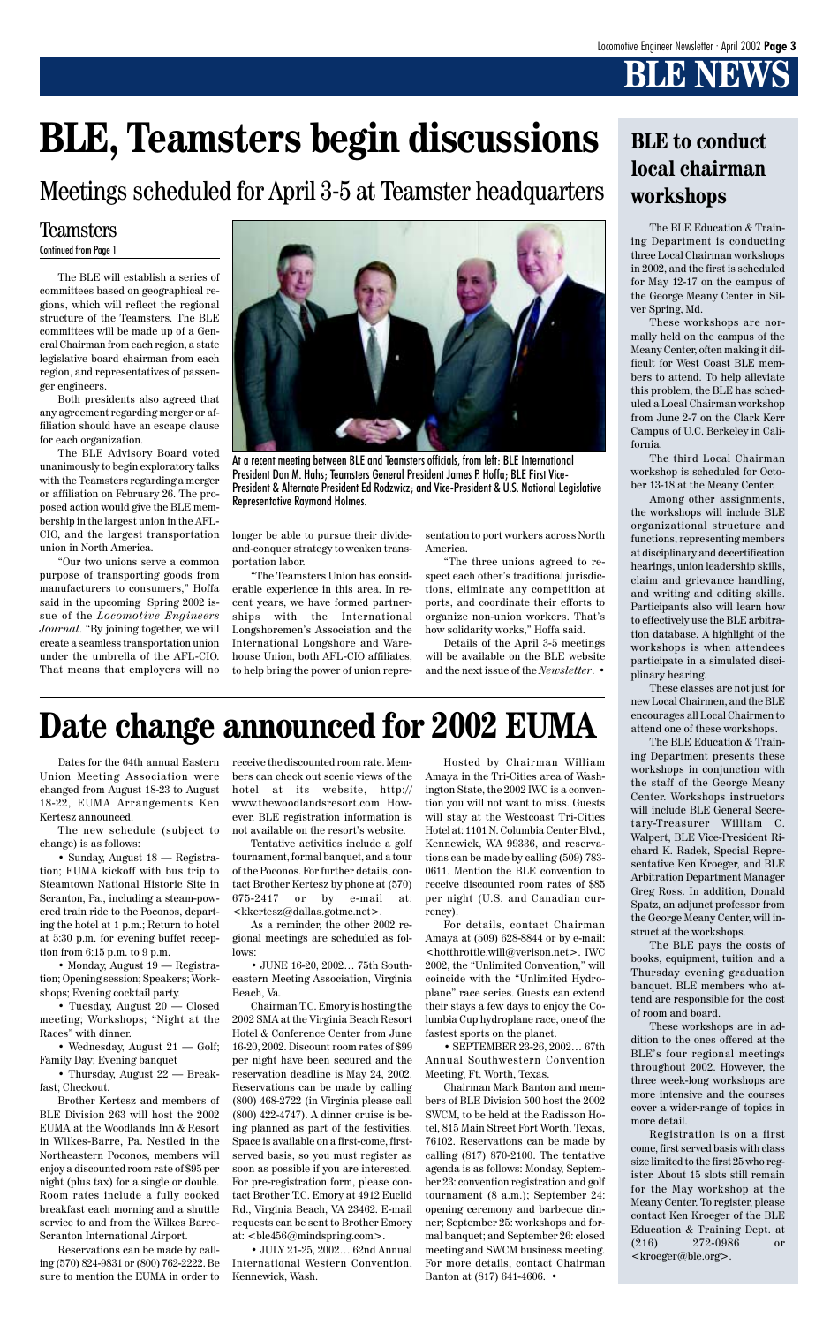# **BLE NEWS**

Dates for the 64th annual Eastern Union Meeting Association were changed from August 18-23 to August 18-22, EUMA Arrangements Ken Kertesz announced.

The new schedule (subject to change) is as follows:

• Wednesday, August 21 — Golf; Family Day; Evening banquet

• Sunday, August 18 — Registration; EUMA kickoff with bus trip to Steamtown National Historic Site in Scranton, Pa., including a steam-powered train ride to the Poconos, departing the hotel at 1 p.m.; Return to hotel at 5:30 p.m. for evening buffet reception from 6:15 p.m. to 9 p.m.

• Thursday, August 22 — Breakfast; Checkout.

• Monday, August 19 — Registra-

tion; Opening session; Speakers; Workshops; Evening cocktail party.

• Tuesday, August 20 — Closed meeting; Workshops; "Night at the Races" with dinner.

Brother Kertesz and members of BLE Division 263 will host the 2002 EUMA at the Woodlands Inn & Resort in Wilkes-Barre, Pa. Nestled in the Northeastern Poconos, members will enjoy a discounted room rate of \$95 per night (plus tax) for a single or double. Room rates include a fully cooked breakfast each morning and a shuttle service to and from the Wilkes Barre-Scranton International Airport.

Reservations can be made by calling (570) 824-9831 or (800) 762-2222. Be sure to mention the EUMA in order to receive the discounted room rate. Members can check out scenic views of the hotel at its website, http:// www.thewoodlandsresort.com. However, BLE registration information is not available on the resort's website.

Tentative activities include a golf tournament, formal banquet, and a tour of the Poconos. For further details, contact Brother Kertesz by phone at (570) 675-2417 or by e-mail at: <kkertesz@dallas.gotmc.net>.

As a reminder, the other 2002 regional meetings are scheduled as follows:

• JUNE 16-20, 2002… 75th South-

eastern Meeting Association, Virginia Beach, Va.

Chairman T.C. Emory is hosting the 2002 SMA at the Virginia Beach Resort Hotel & Conference Center from June 16-20, 2002. Discount room rates of \$99 per night have been secured and the reservation deadline is May 24, 2002. Reservations can be made by calling (800) 468-2722 (in Virginia please call (800) 422-4747). A dinner cruise is being planned as part of the festivities. Space is available on a first-come, firstserved basis, so you must register as soon as possible if you are interested. For pre-registration form, please contact Brother T.C. Emory at 4912 Euclid Rd., Virginia Beach, VA 23462. E-mail requests can be sent to Brother Emory at: <ble456@mindspring.com>.

• JULY 21-25, 2002… 62nd Annual International Western Convention, Kennewick, Wash.

The BLE Education & Training Department is conducting three Local Chairman workshops in 2002, and the first is scheduled for May 12-17 on the campus of the George Meany Center in Silver Spring, Md.

These workshops are normally held on the campus of the Meany Center, often making it difficult for West Coast BLE members to attend. To help alleviate this problem, the BLE has scheduled a Local Chairman workshop from June 2-7 on the Clark Kerr Campus of U.C. Berkeley in California.

The third Local Chairman workshop is scheduled for October 13-18 at the Meany Center.

Among other assignments, the workshops will include BLE organizational structure and functions, representing members at disciplinary and decertification hearings, union leadership skills, claim and grievance handling, and writing and editing skills. Participants also will learn how to effectively use the BLE arbitration database. A highlight of the workshops is when attendees participate in a simulated disciplinary hearing.

These classes are not just for new Local Chairmen, and the BLE encourages all Local Chairmen to attend one of these workshops.

The BLE Education & Training Department presents these workshops in conjunction with the staff of the George Meany Center. Workshops instructors will include BLE General Secretary-Treasurer William C. Walpert, BLE Vice-President Richard K. Radek, Special Representative Ken Kroeger, and BLE Arbitration Department Manager Greg Ross. In addition, Donald Spatz, an adjunct professor from the George Meany Center, will instruct at the workshops.

The BLE pays the costs of books, equipment, tuition and a Thursday evening graduation banquet. BLE members who attend are responsible for the cost of room and board.

These workshops are in addition to the ones offered at the BLE's four regional meetings throughout 2002. However, the three week-long workshops are more intensive and the courses cover a wider-range of topics in more detail.

Registration is on a first come, first served basis with class size limited to the first 25 who register. About 15 slots still remain for the May workshop at the Meany Center. To register, please contact Ken Kroeger of the BLE Education & Training Dept. at (216) 272-0986 or <kroeger@ble.org>.

### **BLE to conduct local chairman workshops**

Hosted by Chairman William Amaya in the Tri-Cities area of Washington State, the 2002 IWC is a convention you will not want to miss. Guests will stay at the Westcoast Tri-Cities Hotel at: 1101 N. Columbia Center Blvd., Kennewick, WA 99336, and reservations can be made by calling (509) 783- 0611. Mention the BLE convention to receive discounted room rates of \$85 per night (U.S. and Canadian currency).

For details, contact Chairman Amaya at (509) 628-8844 or by e-mail: <hotthrottle.will@verison.net>. IWC 2002, the "Unlimited Convention," will coincide with the "Unlimited Hydroplane" race series. Guests can extend their stays a few days to enjoy the Columbia Cup hydroplane race, one of the fastest sports on the planet.

• SEPTEMBER 23-26, 2002… 67th Annual Southwestern Convention Meeting, Ft. Worth, Texas.

Chairman Mark Banton and members of BLE Division 500 host the 2002 SWCM, to be held at the Radisson Hotel, 815 Main Street Fort Worth, Texas, 76102. Reservations can be made by calling (817) 870-2100. The tentative agenda is as follows: Monday, September 23: convention registration and golf tournament (8 a.m.); September 24: opening ceremony and barbecue dinner; September 25: workshops and formal banquet; and September 26: closed meeting and SWCM business meeting. For more details, contact Chairman Banton at (817) 641-4606. •

# **Date change announced for 2002 EUMA**

The BLE will establish a series of committees based on geographical regions, which will reflect the regional structure of the Teamsters. The BLE committees will be made up of a General Chairman from each region, a state legislative board chairman from each region, and representatives of passen-

ger engineers. Both presidents also agreed that any agreement regarding merger or affiliation should have an escape clause for each organization.

The BLE Advisory Board voted unanimously to begin exploratory talks with the Teamsters regarding a merger or affiliation on February 26. The proposed action would give the BLE membership in the largest union in the AFL-CIO, and the largest transportation union in North America.

"Our two unions serve a common purpose of transporting goods from manufacturers to consumers," Hoffa said in the upcoming Spring 2002 issue of the *Locomotive Engineers Journal*. "By joining together, we will create a seamless transportation union under the umbrella of the AFL-CIO. That means that employers will no

# **BLE, Teamsters begin discussions**

longer be able to pursue their divideand-conquer strategy to weaken transportation labor.

"The Teamsters Union has considerable experience in this area. In recent years, we have formed partnerships with the International Longshoremen's Association and the International Longshore and Warehouse Union, both AFL-CIO affiliates, to help bring the power of union repre-

#### Teamsters Continued from Page 1

sentation to port workers across North America.

"The three unions agreed to respect each other's traditional jurisdictions, eliminate any competition at ports, and coordinate their efforts to organize non-union workers. That's how solidarity works," Hoffa said.

Details of the April 3-5 meetings will be available on the BLE website and the next issue of the *Newsletter*. •



At a recent meeting between BLE and Teamsters officials, from left: BLE International President Don M. Hahs; Teamsters General President James P. Hoffa; BLE First Vice-President & Alternate President Ed Rodzwicz; and Vice-President & U.S. National Legislative Representative Raymond Holmes.

Meetings scheduled for April 3-5 at Teamster headquarters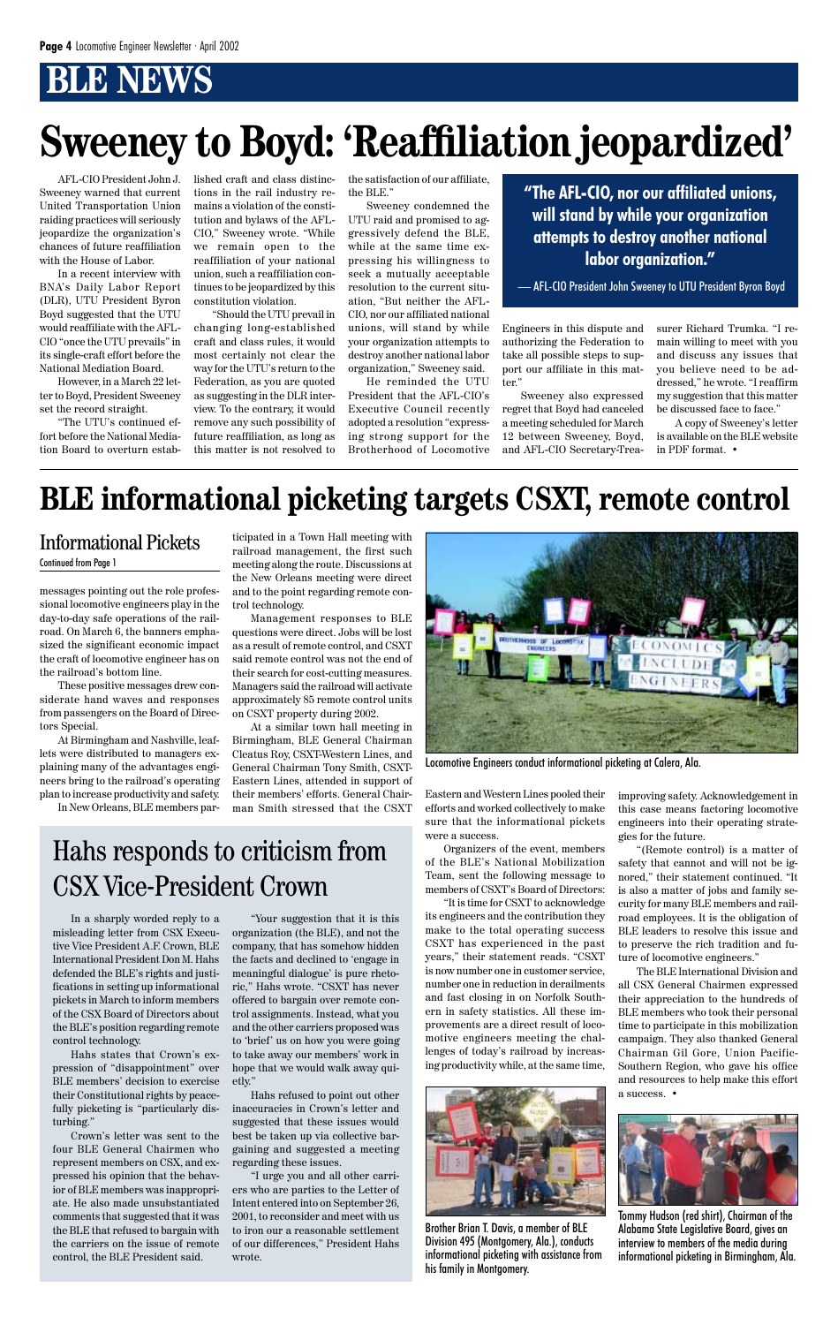# **BRIDWS**

In a sharply worded reply to a misleading letter from CSX Executive Vice President A.F. Crown, BLE International President Don M. Hahs defended the BLE's rights and justifications in setting up informational pickets in March to inform members of the CSX Board of Directors about the BLE's position regarding remote control technology.

Hahs states that Crown's expression of "disappointment" over BLE members' decision to exercise their Constitutional rights by peacefully picketing is "particularly disturbing."

Crown's letter was sent to the four BLE General Chairmen who represent members on CSX, and expressed his opinion that the behavior of BLE members was inappropriate. He also made unsubstantiated comments that suggested that it was the BLE that refused to bargain with the carriers on the issue of remote control, the BLE President said.

messages pointing out the role professional locomotive engineers play in the day-to-day safe operations of the railroad. On March 6, the banners emphasized the significant economic impact the craft of locomotive engineer has on the railroad's bottom line.

These positive messages drew considerate hand waves and responses from passengers on the Board of Directors Special.

At Birmingham and Nashville, leaflets were distributed to managers explaining many of the advantages engineers bring to the railroad's operating plan to increase productivity and safety.

In New Orleans, BLE members par-

ticipated in a Town Hall meeting with railroad management, the first such meeting along the route. Discussions at the New Orleans meeting were direct and to the point regarding remote control technology.

Management responses to BLE questions were direct. Jobs will be lost as a result of remote control, and CSXT said remote control was not the end of their search for cost-cutting measures. Managers said the railroad will activate approximately 85 remote control units on CSXT property during 2002.

At a similar town hall meeting in Birmingham, BLE General Chairman Cleatus Roy, CSXT-Western Lines, and General Chairman Tony Smith, CSXT-Eastern Lines, attended in support of their members' efforts. General Chairman Smith stressed that the CSXT

#### Informational Pickets

#### Continued from Page 1

Eastern and Western Lines pooled their efforts and worked collectively to make sure that the informational pickets were a success.

Organizers of the event, members of the BLE's National Mobilization Team, sent the following message to members of CSXT's Board of Directors:

"It is time for CSXT to acknowledge its engineers and the contribution they make to the total operating success CSXT has experienced in the past years," their statement reads. "CSXT is now number one in customer service, number one in reduction in derailments and fast closing in on Norfolk Southern in safety statistics. All these improvements are a direct result of locomotive engineers meeting the challenges of today's railroad by increasing productivity while, at the same time,

# **BLE informational picketing targets CSXT, remote control**

improving safety. Acknowledgement in this case means factoring locomotive engineers into their operating strategies for the future.

"(Remote control) is a matter of safety that cannot and will not be ignored," their statement continued. "It is also a matter of jobs and family security for many BLE members and railroad employees. It is the obligation of BLE leaders to resolve this issue and to preserve the rich tradition and future of locomotive engineers."

The BLE International Division and all CSX General Chairmen expressed their appreciation to the hundreds of BLE members who took their personal time to participate in this mobilization campaign. They also thanked General Chairman Gil Gore, Union Pacific-Southern Region, who gave his office and resources to help make this effort a success. •

"Your suggestion that it is this organization (the BLE), and not the company, that has somehow hidden the facts and declined to 'engage in meaningful dialogue' is pure rhetoric," Hahs wrote. "CSXT has never offered to bargain over remote control assignments. Instead, what you and the other carriers proposed was to 'brief' us on how you were going to take away our members' work in hope that we would walk away quietly."

Hahs refused to point out other inaccuracies in Crown's letter and suggested that these issues would best be taken up via collective bargaining and suggested a meeting regarding these issues.

"I urge you and all other carriers who are parties to the Letter of Intent entered into on September 26, 2001, to reconsider and meet with us to iron our a reasonable settlement of our differences," President Hahs wrote.

### Hahs responds to criticism from CSX Vice-President Crown



Locomotive Engineers conduct informational picketing at Calera, Ala.



Brother Brian T. Davis, a member of BLE Division 495 (Montgomery, Ala.), conducts informational picketing with assistance from his family in Montgomery.



Tommy Hudson (red shirt), Chairman of the Alabama State Legislative Board, gives an interview to members of the media during informational picketing in Birmingham, Ala.

AFL-CIO President John J. Sweeney warned that current United Transportation Union raiding practices will seriously jeopardize the organization's chances of future reaffiliation with the House of Labor.

In a recent interview with BNA's Daily Labor Report (DLR), UTU President Byron Boyd suggested that the UTU would reaffiliate with the AFL-CIO "once the UTU prevails" in its single-craft effort before the National Mediation Board.

However, in a March 22 letter to Boyd, President Sweeney set the record straight.

"The UTU's continued effort before the National Mediation Board to overturn established craft and class distinctions in the rail industry remains a violation of the constitution and bylaws of the AFL-CIO," Sweeney wrote. "While we remain open to the reaffiliation of your national union, such a reaffiliation continues to be jeopardized by this constitution violation.

"Should the UTU prevail in changing long-established craft and class rules, it would most certainly not clear the way for the UTU's return to the Federation, as you are quoted as suggesting in the DLR interview. To the contrary, it would remove any such possibility of future reaffiliation, as long as this matter is not resolved to

the satisfaction of our affiliate, the BLE."

Sweeney condemned the UTU raid and promised to aggressively defend the BLE, while at the same time expressing his willingness to seek a mutually acceptable resolution to the current situation, "But neither the AFL-CIO, nor our affiliated national unions, will stand by while your organization attempts to destroy another national labor organization," Sweeney said.

He reminded the UTU President that the AFL-CIO's Executive Council recently adopted a resolution "expressing strong support for the Brotherhood of Locomotive

# **Sweeney to Boyd: 'Reaffiliation jeopardized'**

**"The AFL-CIO, nor our affiliated unions, will stand by while your organization attempts to destroy another national labor organization."**

— AFL-CIO President John Sweeney to UTU President Byron Boyd

Engineers in this dispute and authorizing the Federation to take all possible steps to support our affiliate in this matter."

Sweeney also expressed regret that Boyd had canceled a meeting scheduled for March 12 between Sweeney, Boyd, and AFL-CIO Secretary-Treasurer Richard Trumka. "I remain willing to meet with you and discuss any issues that you believe need to be addressed," he wrote. "I reaffirm my suggestion that this matter be discussed face to face."

A copy of Sweeney's letter is available on the BLE website in PDF format. •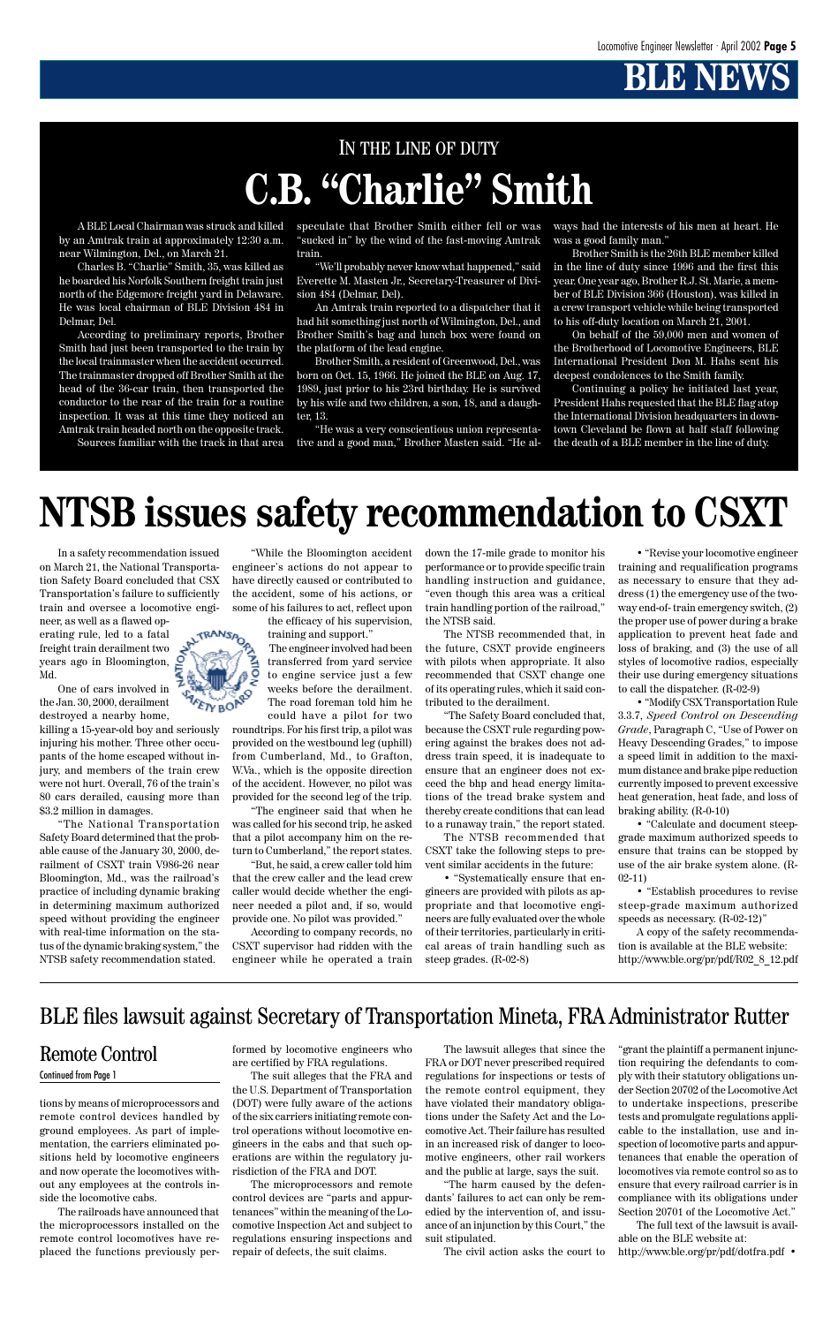# **BLE NEW**

# IN THE LINE OF DUTY **C.B. "Charlie" Smith**

A BLE Local Chairman was struck and killed by an Amtrak train at approximately 12:30 a.m. near Wilmington, Del., on March 21.

Charles B. "Charlie" Smith, 35, was killed as he boarded his Norfolk Southern freight train just north of the Edgemore freight yard in Delaware. He was local chairman of BLE Division 484 in Delmar, Del.

According to preliminary reports, Brother Smith had just been transported to the train by the local trainmaster when the accident occurred. The trainmaster dropped off Brother Smith at the head of the 36-car train, then transported the conductor to the rear of the train for a routine inspection. It was at this time they noticed an Amtrak train headed north on the opposite track.

Sources familiar with the track in that area

speculate that Brother Smith either fell or was "sucked in" by the wind of the fast-moving Amtrak train.

"We'll probably never know what happened," said Everette M. Masten Jr., Secretary-Treasurer of Division 484 (Delmar, Del).

An Amtrak train reported to a dispatcher that it had hit something just north of Wilmington, Del., and Brother Smith's bag and lunch box were found on the platform of the lead engine.

Brother Smith, a resident of Greenwood, Del., was born on Oct. 15, 1966. He joined the BLE on Aug. 17, 1989, just prior to his 23rd birthday. He is survived by his wife and two children, a son, 18, and a daughter, 13.

"He was a very conscientious union representative and a good man," Brother Masten said. "He always had the interests of his men at heart. He was a good family man."

Brother Smith is the 26th BLE member killed in the line of duty since 1996 and the first this year. One year ago, Brother R.J. St. Marie, a member of BLE Division 366 (Houston), was killed in a crew transport vehicle while being transported to his off-duty location on March 21, 2001.

On behalf of the 59,000 men and women of the Brotherhood of Locomotive Engineers, BLE International President Don M. Hahs sent his deepest condolences to the Smith family.

Continuing a policy he initiated last year, President Hahs requested that the BLE flag atop the International Division headquarters in downtown Cleveland be flown at half staff following the death of a BLE member in the line of duty.

In a safety recommendation issued on March 21, the National Transportation Safety Board concluded that CSX Transportation's failure to sufficiently train and oversee a locomotive engi-

neer, as well as a flawed operating rule, led to a fatal freight train derailment two years ago in Bloomington, Md.

One of cars involved in the Jan. 30, 2000, derailment destroyed a nearby home,

killing a 15-year-old boy and seriously injuring his mother. Three other occupants of the home escaped without injury, and members of the train crew were not hurt. Overall, 76 of the train's 80 cars derailed, causing more than \$3.2 million in damages.

"The National Transportation Safety Board determined that the probable cause of the January 30, 2000, derailment of CSXT train V986-26 near Bloomington, Md., was the railroad's practice of including dynamic braking in determining maximum authorized speed without providing the engineer with real-time information on the status of the dynamic braking system," the NTSB safety recommendation stated.



the efficacy of his supervision, training and support."

The engineer involved had been transferred from yard service to engine service just a few weeks before the derailment. The road foreman told him he could have a pilot for two

roundtrips. For his first trip, a pilot was provided on the westbound leg (uphill) from Cumberland, Md., to Grafton, W.Va., which is the opposite direction of the accident. However, no pilot was provided for the second leg of the trip.

"The engineer said that when he was called for his second trip, he asked that a pilot accompany him on the return to Cumberland," the report states.

"But, he said, a crew caller told him that the crew caller and the lead crew caller would decide whether the engineer needed a pilot and, if so, would provide one. No pilot was provided."

According to company records, no CSXT supervisor had ridden with the engineer while he operated a train down the 17-mile grade to monitor his performance or to provide specific train handling instruction and guidance, "even though this area was a critical train handling portion of the railroad," the NTSB said.

The NTSB recommended that, in the future, CSXT provide engineers with pilots when appropriate. It also recommended that CSXT change one of its operating rules, which it said contributed to the derailment.

"The Safety Board concluded that, because the CSXT rule regarding powering against the brakes does not address train speed, it is inadequate to ensure that an engineer does not exceed the bhp and head energy limitations of the tread brake system and thereby create conditions that can lead to a runaway train," the report stated.

The NTSB recommended that CSXT take the following steps to prevent similar accidents in the future:

• "Systematically ensure that engineers are provided with pilots as appropriate and that locomotive engineers are fully evaluated over the whole of their territories, particularly in critical areas of train handling such as steep grades. (R-02-8)

# **NTSB issues safety recommendation to CSXT**

• "Revise your locomotive engineer training and requalification programs as necessary to ensure that they address (1) the emergency use of the twoway end-of- train emergency switch, (2) the proper use of power during a brake application to prevent heat fade and loss of braking, and (3) the use of all styles of locomotive radios, especially their use during emergency situations to call the dispatcher. (R-02-9)

• "Modify CSX Transportation Rule 3.3.7, *Speed Control on Descending Grade*, Paragraph C, "Use of Power on Heavy Descending Grades," to impose a speed limit in addition to the maximum distance and brake pipe reduction currently imposed to prevent excessive heat generation, heat fade, and loss of braking ability. (R-0-10)

• "Calculate and document steepgrade maximum authorized speeds to ensure that trains can be stopped by use of the air brake system alone. (R-02-11)

• "Establish procedures to revise steep-grade maximum authorized speeds as necessary. (R-02-12)"

A copy of the safety recommendation is available at the BLE website: http://www.ble.org/pr/pdf/R02\_8\_12.pdf



tions by means of microprocessors and remote control devices handled by ground employees. As part of implementation, the carriers eliminated positions held by locomotive engineers and now operate the locomotives without any employees at the controls inside the locomotive cabs.

The railroads have announced that the microprocessors installed on the remote control locomotives have replaced the functions previously performed by locomotive engineers who are certified by FRA regulations.

The suit alleges that the FRA and the U.S. Department of Transportation (DOT) were fully aware of the actions of the six carriers initiating remote control operations without locomotive engineers in the cabs and that such operations are within the regulatory jurisdiction of the FRA and DOT.

The microprocessors and remote control devices are "parts and appurtenances" within the meaning of the Locomotive Inspection Act and subject to regulations ensuring inspections and repair of defects, the suit claims.

The lawsuit alleges that since the FRA or DOT never prescribed required regulations for inspections or tests of the remote control equipment, they have violated their mandatory obligations under the Safety Act and the Locomotive Act. Their failure has resulted in an increased risk of danger to locomotive engineers, other rail workers and the public at large, says the suit.

"The harm caused by the defendants' failures to act can only be remedied by the intervention of, and issuance of an injunction by this Court," the suit stipulated.

The civil action asks the court to

"grant the plaintiff a permanent injunction requiring the defendants to comply with their statutory obligations under Section 20702 of the Locomotive Act to undertake inspections, prescribe tests and promulgate regulations applicable to the installation, use and inspection of locomotive parts and appurtenances that enable the operation of locomotives via remote control so as to ensure that every railroad carrier is in compliance with its obligations under Section 20701 of the Locomotive Act."

The full text of the lawsuit is available on the BLE website at:

http://www.ble.org/pr/pdf/dotfra.pdf •

### Remote Control

#### Continued from Page 1

### BLE files lawsuit against Secretary of Transportation Mineta, FRA Administrator Rutter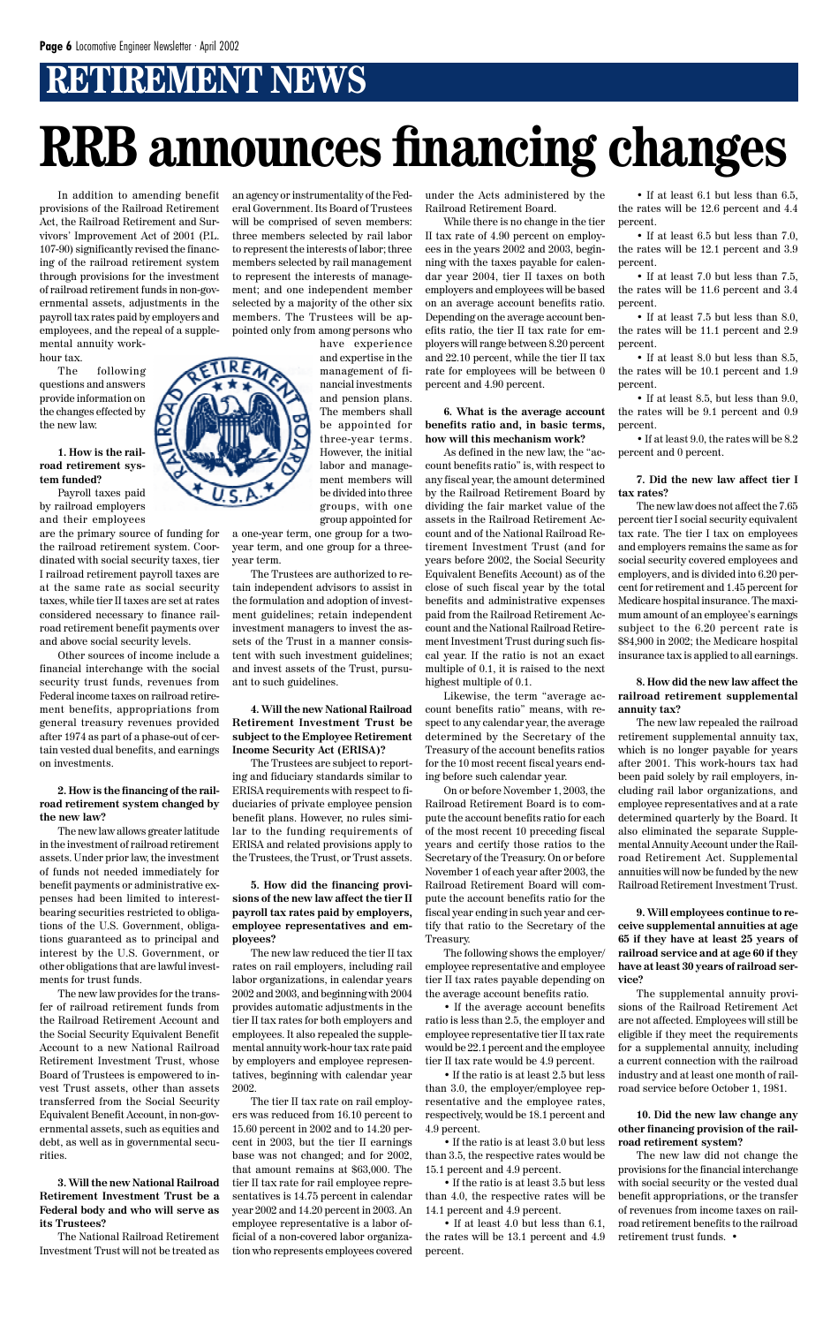# **RETIREMENT NEWS**

In addition to amending benefit provisions of the Railroad Retirement Act, the Railroad Retirement and Survivors' Improvement Act of 2001 (P.L. 107-90) significantly revised the financing of the railroad retirement system through provisions for the investment of railroad retirement funds in non-governmental assets, adjustments in the payroll tax rates paid by employers and employees, and the repeal of a supplemental annuity workhour tax.

The following questions and answers provide information on the changes effected by the new law.

#### **1. How is the railroad retirement system funded?**

Payroll taxes paid by railroad employers and their employees

are the primary source of funding for the railroad retirement system. Coordinated with social security taxes, tier I railroad retirement payroll taxes are at the same rate as social security taxes, while tier II taxes are set at rates considered necessary to finance railroad retirement benefit payments over and above social security levels.

Other sources of income include a financial interchange with the social security trust funds, revenues from Federal income taxes on railroad retirement benefits, appropriations from general treasury revenues provided after 1974 as part of a phase-out of certain vested dual benefits, and earnings on investments.

#### **2. How is the financing of the railroad retirement system changed by the new law?**

The new law allows greater latitude in the investment of railroad retirement assets. Under prior law, the investment of funds not needed immediately for benefit payments or administrative expenses had been limited to interestbearing securities restricted to obligations of the U.S. Government, obligations guaranteed as to principal and interest by the U.S. Government, or other obligations that are lawful invest-

ments for trust funds.

The new law provides for the transfer of railroad retirement funds from the Railroad Retirement Account and the Social Security Equivalent Benefit Account to a new National Railroad Retirement Investment Trust, whose Board of Trustees is empowered to invest Trust assets, other than assets transferred from the Social Security Equivalent Benefit Account, in non-governmental assets, such as equities and debt, as well as in governmental securities.

**3. Will the new National Railroad Retirement Investment Trust be a Federal body and who will serve as its Trustees?**

The National Railroad Retirement Investment Trust will not be treated as an agency or instrumentality of the Federal Government. Its Board of Trustees will be comprised of seven members: three members selected by rail labor to represent the interests of labor; three members selected by rail management to represent the interests of management; and one independent member selected by a majority of the other six members. The Trustees will be appointed only from among persons who

have experience and expertise in the management of financial investments and pension plans. The members shall be appointed for three-year terms. However, the initial labor and management members will be divided into three groups, with one group appointed for

a one-year term, one group for a twoyear term, and one group for a threeyear term.

The Trustees are authorized to retain independent advisors to assist in the formulation and adoption of investment guidelines; retain independent investment managers to invest the assets of the Trust in a manner consistent with such investment guidelines; and invest assets of the Trust, pursuant to such guidelines.

#### **4. Will the new National Railroad Retirement Investment Trust be subject to the Employee Retirement Income Security Act (ERISA)?**

The Trustees are subject to reporting and fiduciary standards similar to ERISA requirements with respect to fiduciaries of private employee pension benefit plans. However, no rules similar to the funding requirements of ERISA and related provisions apply to the Trustees, the Trust, or Trust assets.

• If at least 6.1 but less than 6.5, the rates will be 12.6 percent and 4.4 percent.

• If at least 6.5 but less than 7.0, the rates will be 12.1 percent and 3.9 percent.

• If at least 7.5 but less than 8.0, the rates will be 11.1 percent and 2.9 percent.

**5. How did the financing provisions of the new law affect the tier II payroll tax rates paid by employers, employee representatives and employees?**

• If at least 8.0 but less than 8.5, the rates will be 10.1 percent and 1.9 percent.

The new law reduced the tier II tax rates on rail employers, including rail

labor organizations, in calendar years 2002 and 2003, and beginning with 2004 provides automatic adjustments in the tier II tax rates for both employers and employees. It also repealed the supplemental annuity work-hour tax rate paid by employers and employee representatives, beginning with calendar year 2002.

The tier II tax rate on rail employers was reduced from 16.10 percent to 15.60 percent in 2002 and to 14.20 percent in 2003, but the tier II earnings base was not changed; and for 2002, that amount remains at \$63,000. The tier II tax rate for rail employee representatives is 14.75 percent in calendar year 2002 and 14.20 percent in 2003. An employee representative is a labor official of a non-covered labor organization who represents employees covered under the Acts administered by the Railroad Retirement Board.

While there is no change in the tier II tax rate of 4.90 percent on employees in the years 2002 and 2003, beginning with the taxes payable for calendar year 2004, tier II taxes on both employers and employees will be based on an average account benefits ratio. Depending on the average account benefits ratio, the tier II tax rate for employers will range between 8.20 percent and 22.10 percent, while the tier II tax rate for employees will be between 0 percent and 4.90 percent.

**6. What is the average account benefits ratio and, in basic terms, how will this mechanism work?**

As defined in the new law, the "account benefits ratio" is, with respect to any fiscal year, the amount determined by the Railroad Retirement Board by dividing the fair market value of the assets in the Railroad Retirement Account and of the National Railroad Retirement Investment Trust (and for years before 2002, the Social Security Equivalent Benefits Account) as of the close of such fiscal year by the total benefits and administrative expenses paid from the Railroad Retirement Account and the National Railroad Retirement Investment Trust during such fiscal year. If the ratio is not an exact multiple of 0.1, it is raised to the next highest multiple of 0.1.

Likewise, the term "average account benefits ratio" means, with respect to any calendar year, the average determined by the Secretary of the Treasury of the account benefits ratios for the 10 most recent fiscal years ending before such calendar year.

On or before November 1, 2003, the Railroad Retirement Board is to compute the account benefits ratio for each of the most recent 10 preceding fiscal years and certify those ratios to the Secretary of the Treasury. On or before November 1 of each year after 2003, the Railroad Retirement Board will compute the account benefits ratio for the fiscal year ending in such year and certify that ratio to the Secretary of the Treasury.

The following shows the employer/ employee representative and employee

tier II tax rates payable depending on the average account benefits ratio.

• If the average account benefits ratio is less than 2.5, the employer and employee representative tier II tax rate would be 22.1 percent and the employee tier II tax rate would be 4.9 percent.

• If the ratio is at least 2.5 but less than 3.0, the employer/employee representative and the employee rates, respectively, would be 18.1 percent and 4.9 percent.

• If the ratio is at least 3.0 but less than 3.5, the respective rates would be 15.1 percent and 4.9 percent.

• If the ratio is at least 3.5 but less than 4.0, the respective rates will be 14.1 percent and 4.9 percent.

• If at least 4.0 but less than 6.1, the rates will be 13.1 percent and 4.9 percent.

• If at least 7.0 but less than 7.5, the rates will be 11.6 percent and 3.4 percent.

• If at least 8.5, but less than 9.0, the rates will be 9.1 percent and 0.9 percent.

• If at least 9.0, the rates will be 8.2 percent and 0 percent.

#### **7. Did the new law affect tier I tax rates?**

The new law does not affect the 7.65 percent tier I social security equivalent tax rate. The tier I tax on employees and employers remains the same as for social security covered employees and employers, and is divided into 6.20 percent for retirement and 1.45 percent for Medicare hospital insurance. The maximum amount of an employee's earnings subject to the 6.20 percent rate is \$84,900 in 2002; the Medicare hospital insurance tax is applied to all earnings.

#### **8. How did the new law affect the railroad retirement supplemental annuity tax?**

The new law repealed the railroad retirement supplemental annuity tax, which is no longer payable for years after 2001. This work-hours tax had been paid solely by rail employers, including rail labor organizations, and employee representatives and at a rate determined quarterly by the Board. It also eliminated the separate Supplemental Annuity Account under the Railroad Retirement Act. Supplemental annuities will now be funded by the new Railroad Retirement Investment Trust.

**9. Will employees continue to receive supplemental annuities at age 65 if they have at least 25 years of railroad service and at age 60 if they have at least 30 years of railroad ser-**



#### **vice?**

The supplemental annuity provisions of the Railroad Retirement Act are not affected. Employees will still be eligible if they meet the requirements for a supplemental annuity, including a current connection with the railroad industry and at least one month of railroad service before October 1, 1981.

**10. Did the new law change any other financing provision of the railroad retirement system?**

The new law did not change the provisions for the financial interchange with social security or the vested dual benefit appropriations, or the transfer of revenues from income taxes on railroad retirement benefits to the railroad retirement trust funds. •

# **RRB announces financing changes**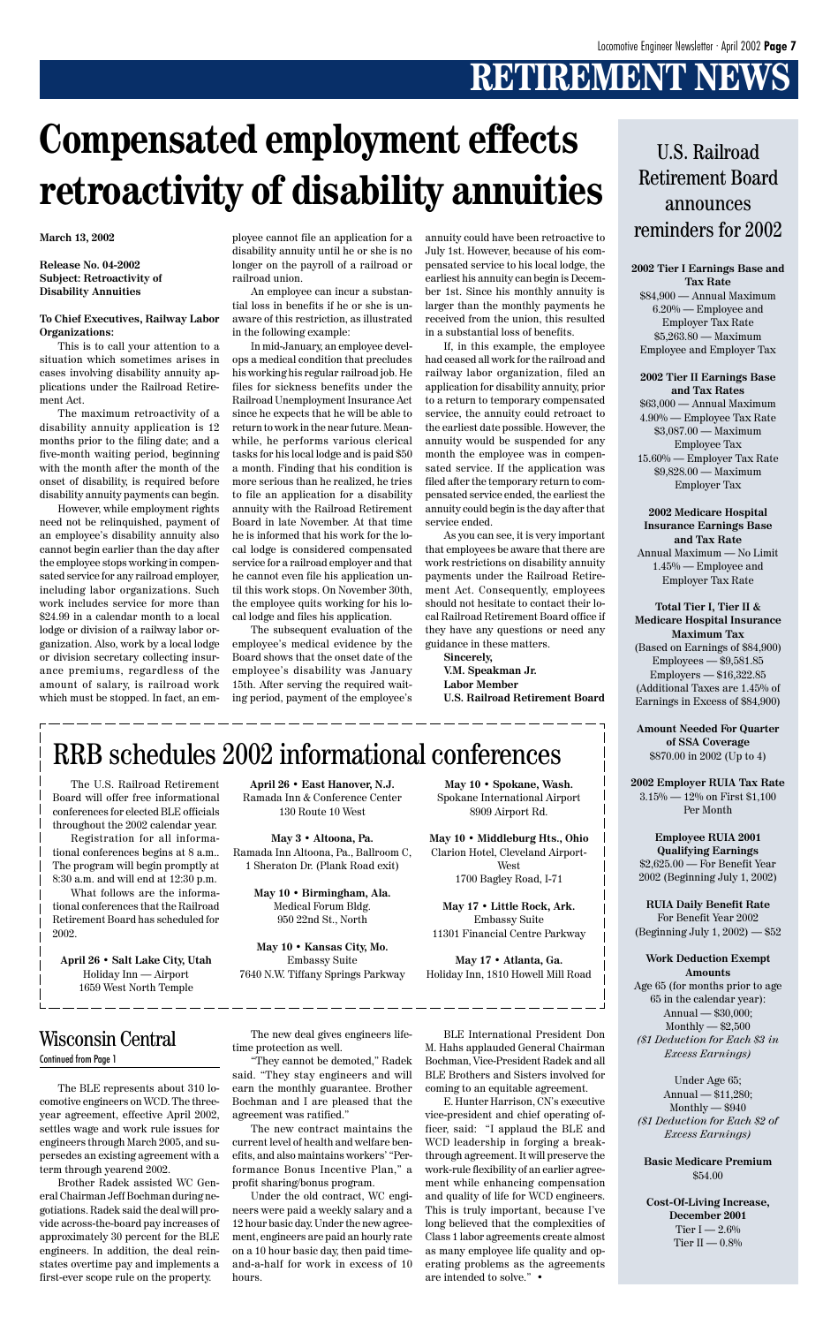# **RETIREMENT NEWS**

**March 13, 2002**

**Release No. 04-2002 Subject: Retroactivity of Disability Annuities**

#### **To Chief Executives, Railway Labor Organizations:**

This is to call your attention to a situation which sometimes arises in cases involving disability annuity applications under the Railroad Retirement Act.

The maximum retroactivity of a disability annuity application is 12 months prior to the filing date; and a five-month waiting period, beginning with the month after the month of the onset of disability, is required before disability annuity payments can begin.

However, while employment rights need not be relinquished, payment of an employee's disability annuity also cannot begin earlier than the day after the employee stops working in compensated service for any railroad employer, including labor organizations. Such work includes service for more than \$24.99 in a calendar month to a local lodge or division of a railway labor organization. Also, work by a local lodge or division secretary collecting insurance premiums, regardless of the amount of salary, is railroad work which must be stopped. In fact, an employee cannot file an application for a disability annuity until he or she is no longer on the payroll of a railroad or railroad union.

An employee can incur a substantial loss in benefits if he or she is unaware of this restriction, as illustrated in the following example:

In mid-January, an employee develops a medical condition that precludes his working his regular railroad job. He files for sickness benefits under the Railroad Unemployment Insurance Act since he expects that he will be able to return to work in the near future. Meanwhile, he performs various clerical tasks for his local lodge and is paid \$50 a month. Finding that his condition is more serious than he realized, he tries to file an application for a disability annuity with the Railroad Retirement Board in late November. At that time he is informed that his work for the local lodge is considered compensated service for a railroad employer and that he cannot even file his application until this work stops. On November 30th, the employee quits working for his local lodge and files his application.

The subsequent evaluation of the employee's medical evidence by the Board shows that the onset date of the employee's disability was January 15th. After serving the required waiting period, payment of the employee's

> **Cost-Of-Living Increase, December 2001** Tier I —  $2.6\%$ Tier II  $-0.8\%$

annuity could have been retroactive to July 1st. However, because of his compensated service to his local lodge, the earliest his annuity can begin is December 1st. Since his monthly annuity is larger than the monthly payments he received from the union, this resulted in a substantial loss of benefits.

If, in this example, the employee had ceased all work for the railroad and railway labor organization, filed an application for disability annuity, prior to a return to temporary compensated service, the annuity could retroact to the earliest date possible. However, the annuity would be suspended for any month the employee was in compensated service. If the application was filed after the temporary return to compensated service ended, the earliest the annuity could begin is the day after that service ended.

As you can see, it is very important that employees be aware that there are work restrictions on disability annuity payments under the Railroad Retirement Act. Consequently, employees should not hesitate to contact their local Railroad Retirement Board office if they have any questions or need any guidance in these matters.

**Sincerely, V.M. Speakman Jr. Labor Member U.S. Railroad Retirement Board**

# **Compensated employment effects retroactivity of disability annuities**

### U.S. Railroad Retirement Board announces reminders for 2002

**2002 Tier I Earnings Base and Tax Rate** \$84,900 — Annual Maximum 6.20% — Employee and Employer Tax Rate \$5,263.80 — Maximum Employee and Employer Tax

**2002 Tier II Earnings Base and Tax Rates** \$63,000 — Annual Maximum 4.90% — Employee Tax Rate \$3,087.00 — Maximum Employee Tax 15.60% — Employer Tax Rate \$9,828.00 — Maximum Employer Tax

**2002 Medicare Hospital Insurance Earnings Base and Tax Rate** Annual Maximum — No Limit 1.45% — Employee and Employer Tax Rate

**Total Tier I, Tier II & Medicare Hospital Insurance Maximum Tax** (Based on Earnings of \$84,900) Employees — \$9,581.85 Employers — \$16,322.85 (Additional Taxes are 1.45% of Earnings in Excess of \$84,900)

**Amount Needed For Quarter of SSA Coverage** \$870.00 in 2002 (Up to 4)

**2002 Employer RUIA Tax Rate** 3.15% — 12% on First \$1,100 Per Month

**Employee RUIA 2001 Qualifying Earnings** \$2,625.00 — For Benefit Year 2002 (Beginning July 1, 2002)

**RUIA Daily Benefit Rate** For Benefit Year 2002 (Beginning July 1, 2002) — \$52

**Work Deduction Exempt Amounts**

Age 65 (for months prior to age 65 in the calendar year): Annual — \$30,000; Monthly  $-$  \$2,500 *(\$1 Deduction for Each \$3 in Excess Earnings)*

Under Age 65; Annual — \$11,280;  $Monthly - $940$ *(\$1 Deduction for Each \$2 of Excess Earnings)*

**Basic Medicare Premium** \$54.00

The U.S. Railroad Retirement Board will offer free informational conferences for elected BLE officials throughout the 2002 calendar year.

Registration for all informational conferences begins at 8 a.m.. The program will begin promptly at 8:30 a.m. and will end at 12:30 p.m.

What follows are the informational conferences that the Railroad Retirement Board has scheduled for 2002.

**April 26 • Salt Lake City, Utah** Holiday Inn — Airport 1659 West North Temple

## RRB schedules 2002 informational conferences

**April 26 • East Hanover, N.J.** Ramada Inn & Conference Center 130 Route 10 West

**May 3 • Altoona, Pa.** Ramada Inn Altoona, Pa., Ballroom C, 1 Sheraton Dr. (Plank Road exit)

> **May 10 • Birmingham, Ala.** Medical Forum Bldg. 950 22nd St., North

**May 10 • Kansas City, Mo.** Embassy Suite 7640 N.W. Tiffany Springs Parkway

**May 10 • Spokane, Wash.** Spokane International Airport 8909 Airport Rd.

**May 10 • Middleburg Hts., Ohio** Clarion Hotel, Cleveland Airport-West 1700 Bagley Road, I-71

**May 17 • Little Rock, Ark.** Embassy Suite 11301 Financial Centre Parkway

**May 17 • Atlanta, Ga.** Holiday Inn, 1810 Howell Mill Road

The BLE represents about 310 locomotive engineers on WCD. The threeyear agreement, effective April 2002, settles wage and work rule issues for engineers through March 2005, and supersedes an existing agreement with a term through yearend 2002.

Brother Radek assisted WC General Chairman Jeff Bochman during negotiations. Radek said the deal will provide across-the-board pay increases of approximately 30 percent for the BLE engineers. In addition, the deal reinstates overtime pay and implements a first-ever scope rule on the property.

The new deal gives engineers lifetime protection as well.

"They cannot be demoted," Radek said. "They stay engineers and will earn the monthly guarantee. Brother Bochman and I are pleased that the agreement was ratified."

The new contract maintains the current level of health and welfare benefits, and also maintains workers' "Performance Bonus Incentive Plan," a profit sharing/bonus program.

Under the old contract, WC engineers were paid a weekly salary and a 12 hour basic day. Under the new agreement, engineers are paid an hourly rate on a 10 hour basic day, then paid timeand-a-half for work in excess of 10 hours.

BLE International President Don M. Hahs applauded General Chairman Bochman, Vice-President Radek and all BLE Brothers and Sisters involved for coming to an equitable agreement.

E. Hunter Harrison, CN's executive vice-president and chief operating officer, said: "I applaud the BLE and WCD leadership in forging a breakthrough agreement. It will preserve the work-rule flexibility of an earlier agreement while enhancing compensation and quality of life for WCD engineers. This is truly important, because I've long believed that the complexities of Class 1 labor agreements create almost as many employee life quality and operating problems as the agreements are intended to solve." •

#### Wisconsin Central Continued from Page 1